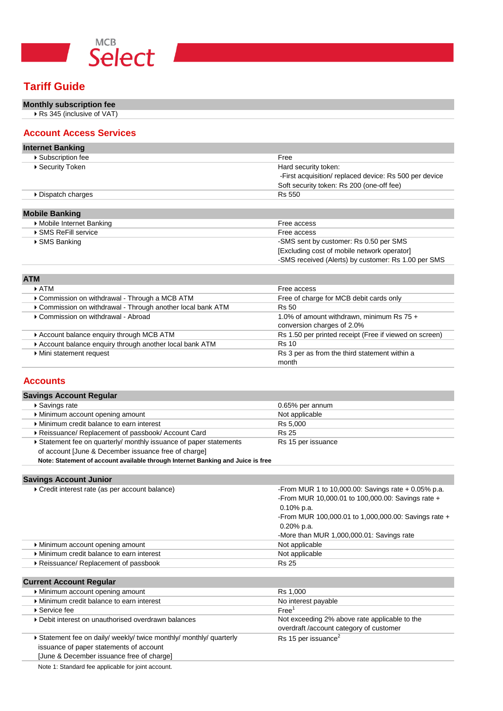

# **Tariff Guide**

# **Monthly subscription fee**

▶ Rs 345 (inclusive of VAT)

### **Account Access Services**

| <b>Internet Banking</b>   |                                                        |
|---------------------------|--------------------------------------------------------|
| ▶ Subscription fee        | Free                                                   |
| ▶ Security Token          | Hard security token:                                   |
|                           | -First acquisition/ replaced device: Rs 500 per device |
|                           | Soft security token: Rs 200 (one-off fee)              |
| Dispatch charges          | Rs 550                                                 |
|                           |                                                        |
| <b>Mobile Banking</b>     |                                                        |
| ▶ Mobile Internet Banking | Free access                                            |
| ▶ SMS ReFill service      | Free access                                            |
| ▶ SMS Banking             | -SMS sent by customer: Rs 0.50 per SMS                 |
|                           | [Excluding cost of mobile network operator]            |
|                           | -SMS received (Alerts) by customer: Rs 1.00 per SMS    |

| <b>ATM</b>                                                  |                                                        |  |  |
|-------------------------------------------------------------|--------------------------------------------------------|--|--|
| $\triangleright$ ATM                                        | Free access                                            |  |  |
| ▶ Commission on withdrawal - Through a MCB ATM              | Free of charge for MCB debit cards only                |  |  |
| ▶ Commission on withdrawal - Through another local bank ATM | Rs 50                                                  |  |  |
| ▶ Commission on withdrawal - Abroad                         | 1.0% of amount withdrawn, minimum Rs 75 +              |  |  |
|                                                             | conversion charges of 2.0%                             |  |  |
| Account balance enquiry through MCB ATM                     | Rs 1.50 per printed receipt (Free if viewed on screen) |  |  |
| Account balance enquiry through another local bank ATM      | <b>Rs</b> 10                                           |  |  |
| Mini statement request                                      | Rs 3 per as from the third statement within a          |  |  |
|                                                             | month                                                  |  |  |

## **Accounts**

| <b>Savings Account Regular</b>                                   |                    |
|------------------------------------------------------------------|--------------------|
| ▶ Savings rate                                                   | 0.65% per annum    |
| Minimum account opening amount                                   | Not applicable     |
| Minimum credit balance to earn interest                          | Rs 5.000           |
| Reissuance/ Replacement of passbook/ Account Card                | <b>Rs 25</b>       |
| Statement fee on quarterly/ monthly issuance of paper statements | Rs 15 per issuance |
| of account [June & December issuance free of charge]             |                    |

**Note: Statement of account available through Internet Banking and Juice is free**

### **Savings Account Junior**

| Credit interest rate (as per account balance) | -From MUR 1 to 10,000.00: Savings rate $+$ 0.05% p.a. |
|-----------------------------------------------|-------------------------------------------------------|
|                                               | -From MUR 10,000.01 to 100,000.00: Savings rate +     |
|                                               | $0.10\%$ p.a.                                         |
|                                               | -From MUR 100,000.01 to 1,000,000.00: Savings rate +  |
|                                               | $0.20\%$ p.a.                                         |
|                                               | -More than MUR 1,000,000.01: Savings rate             |
| Minimum account opening amount                | Not applicable                                        |
| Minimum credit balance to earn interest       | Not applicable                                        |
| ▶ Reissuance/ Replacement of passbook         | <b>Rs 25</b>                                          |
|                                               |                                                       |

## **Current Account Regular**

| Minimum account opening amount                                                                                                                            | Rs 1.000                                                                                 |
|-----------------------------------------------------------------------------------------------------------------------------------------------------------|------------------------------------------------------------------------------------------|
| Minimum credit balance to earn interest                                                                                                                   | No interest payable                                                                      |
| $\blacktriangleright$ Service feel                                                                                                                        | Free <sup>1</sup>                                                                        |
| ▶ Debit interest on unauthorised overdrawn balances                                                                                                       | Not exceeding 2% above rate applicable to the<br>overdraft /account category of customer |
| Statement fee on daily/ weekly/ twice monthly/ monthly/ quarterly<br>issuance of paper statements of account<br>[June & December issuance free of charge] | Rs 15 per issuance <sup>2</sup>                                                          |

Note 1: Standard fee applicable for joint account.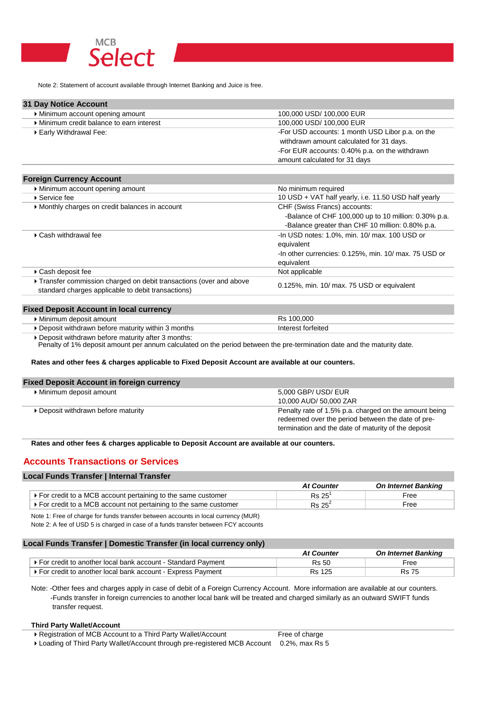

Note 2: Statement of account available through Internet Banking and Juice is free.

| <b>31 Day Notice Account</b>            |                                                  |
|-----------------------------------------|--------------------------------------------------|
| Minimum account opening amount          | 100,000 USD/ 100,000 EUR                         |
| Minimum credit balance to earn interest | 100,000 USD/ 100,000 EUR                         |
| Early Withdrawal Fee:                   | -For USD accounts: 1 month USD Libor p.a. on the |
|                                         | withdrawn amount calculated for 31 days.         |
|                                         | -For EUR accounts: 0.40% p.a. on the withdrawn   |
|                                         | amount calculated for 31 days                    |

### **Foreign Currency Account**

| Minimum account opening amount                                                                                          | No minimum required                                   |
|-------------------------------------------------------------------------------------------------------------------------|-------------------------------------------------------|
| ▶ Service fee                                                                                                           | 10 USD + VAT half yearly, i.e. 11.50 USD half yearly  |
| Monthly charges on credit balances in account                                                                           | CHF (Swiss Francs) accounts:                          |
|                                                                                                                         | -Balance of CHF 100,000 up to 10 million: 0.30% p.a.  |
|                                                                                                                         | -Balance greater than CHF 10 million: 0.80% p.a.      |
| ▶ Cash withdrawal fee                                                                                                   | -In USD notes: 1.0%, min. 10/ max. 100 USD or         |
|                                                                                                                         | equivalent                                            |
|                                                                                                                         | -In other currencies: 0.125%, min. 10/ max. 75 USD or |
|                                                                                                                         | equivalent                                            |
| ▶ Cash deposit fee                                                                                                      | Not applicable                                        |
| Transfer commission charged on debit transactions (over and above<br>standard charges applicable to debit transactions) | 0.125%, min. 10/ max. 75 USD or equivalent            |
|                                                                                                                         |                                                       |

Rs 100,000 Interest forfeited

#### **Fixed Deposit Account in local currency**

4Minimum deposit amount

4Deposit withdrawn before maturity within 3 months

▶ Deposit withdrawn before maturity after 3 months:

Penalty of 1% deposit amount per annum calculated on the period between the pre-termination date and the maturity date.

#### **Rates and other fees & charges applicable to Fixed Deposit Account are available at our counters.**

### **Fixed Deposit Account in foreign currency**

| Minimum deposit amount              | 5,000 GBP/ USD/ EUR                                                                                                                                               |
|-------------------------------------|-------------------------------------------------------------------------------------------------------------------------------------------------------------------|
|                                     | 10,000 AUD/ 50,000 ZAR                                                                                                                                            |
| ▶ Deposit withdrawn before maturity | Penalty rate of 1.5% p.a. charged on the amount being<br>redeemed over the period between the date of pre-<br>termination and the date of maturity of the deposit |

**Rates and other fees & charges applicable to Deposit Account are available at our counters.**

### **Accounts Transactions or Services**

#### **Local Funds Transfer | Internal Transfer**

|                                                                               | <b>At Counter</b> | <b>On Internet Banking</b> |
|-------------------------------------------------------------------------------|-------------------|----------------------------|
| ▶ For credit to a MCB account pertaining to the same customer                 | Rs 25             | -ree                       |
| $\rightarrow$ For credit to a MCB account not pertaining to the same customer | $Rs 25^2$         | Free                       |

Note 1: Free of charge for funds transfer between accounts in local currency (MUR) Note 2: A fee of USD 5 is charged in case of a funds transfer between FCY accounts

### **Local Funds Transfer | Domestic Transfer (in local currency only)**

|                                                               | <b>At Counter</b> | <b>On Internet Banking</b> |
|---------------------------------------------------------------|-------------------|----------------------------|
| ▶ For credit to another local bank account - Standard Payment | Rs 50             | -ree                       |
| ▶ For credit to another local bank account - Express Payment  | <b>Rs 125</b>     | Rs 75                      |

Note: -Other fees and charges apply in case of debit of a Foreign Currency Account. More information are available at our counters. -Funds transfer in foreign currencies to another local bank will be treated and charged similarly as an outward SWIFT funds transfer request.

#### **Third Party Wallet/Account**

▶ Registration of MCB Account to a Third Party Wallet/Account Free of charge

▶ Loading of Third Party Wallet/Account through pre-registered MCB Account 0.2%, max Rs 5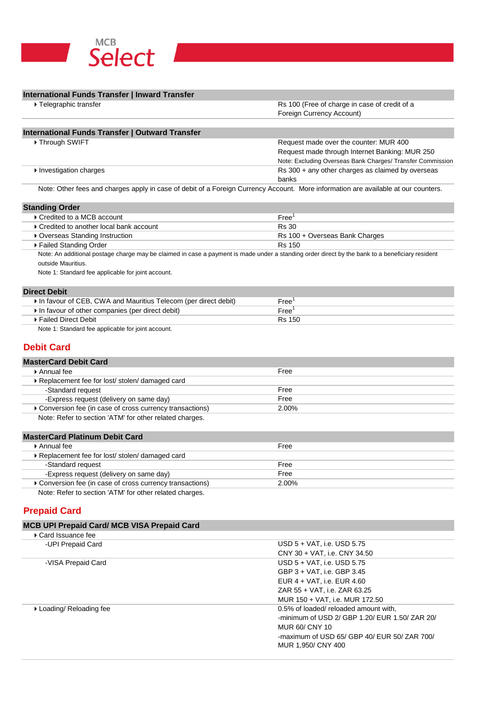

### **International Funds Transfer | Inward Transfer**

| Rs 100 (Free of charge in case of credit of a                                                                                                                                                                                                  |  |
|------------------------------------------------------------------------------------------------------------------------------------------------------------------------------------------------------------------------------------------------|--|
| Foreign Currency Account)                                                                                                                                                                                                                      |  |
|                                                                                                                                                                                                                                                |  |
|                                                                                                                                                                                                                                                |  |
| Request made over the counter: MUR 400                                                                                                                                                                                                         |  |
| Request made through Internet Banking: MUR 250                                                                                                                                                                                                 |  |
| Note: Excluding Overseas Bank Charges/ Transfer Commission                                                                                                                                                                                     |  |
| Rs 300 + any other charges as claimed by overseas                                                                                                                                                                                              |  |
| banks<br>$\mathbf{M}$ , and the state of the state $\mathbf{M}$ , and the state of the state of the state of the state of the state of the state of the state of the state of the state of the state of the state of the state of the state of |  |
|                                                                                                                                                                                                                                                |  |

Note: Other fees and charges apply in case of debit of a Foreign Currency Account. More information are available at our counters.

### **Standing Order**

| ▶ Credited to a MCB account              | Free'                          |  |  |
|------------------------------------------|--------------------------------|--|--|
| ▶ Credited to another local bank account | Rs 30                          |  |  |
| ▶ Overseas Standing Instruction          | Rs 100 + Overseas Bank Charges |  |  |
| ▶ Failed Standing Order                  | Rs 150                         |  |  |

Note: An additional postage charge may be claimed in case a payment is made under a standing order direct by the bank to a beneficiary resident outside Mauritius.

Note 1: Standard fee applicable for joint account.

### **Direct Debit**

| In favour of CEB, CWA and Mauritius Telecom (per direct debit) | Free'  |  |
|----------------------------------------------------------------|--------|--|
| In favour of other companies (per direct debit)                | Free   |  |
| ⋅ Failed Direct Debit l                                        | Rs 150 |  |

Note 1: Standard fee applicable for joint account.

### **Debit Card**

| <b>MasterCard Debit Card</b>                              |       |  |
|-----------------------------------------------------------|-------|--|
| $\triangleright$ Annual fee                               | Free  |  |
| ▶ Replacement fee for lost/ stolen/ damaged card          |       |  |
| -Standard request                                         | Free  |  |
| -Express request (delivery on same day)                   | Free  |  |
| ▶ Conversion fee (in case of cross currency transactions) | 2.00% |  |
| Note: Refer to section 'ATM' for other related charges.   |       |  |

#### **MasterCard Platinum Debit Card**

| $\blacktriangleright$ Annual fee                          | Free  |  |
|-----------------------------------------------------------|-------|--|
| ▶ Replacement fee for lost/ stolen/ damaged card          |       |  |
| -Standard request                                         | Free  |  |
| -Express request (delivery on same day)                   | Free  |  |
| ▶ Conversion fee (in case of cross currency transactions) | 2.00% |  |
| Note: Refer to section 'ATM' for other related charges.   |       |  |

**Prepaid Card**

### **MCB UPI Prepaid Card/ MCB VISA Prepaid Card**

| Card Issuance fee        |                                                |
|--------------------------|------------------------------------------------|
| -UPI Prepaid Card        | USD 5 + VAT, i.e. USD 5.75                     |
|                          | CNY 30 + VAT, i.e. CNY 34.50                   |
| -VISA Prepaid Card       | USD 5 + VAT, i.e. USD 5.75                     |
|                          | GBP 3 + VAT, i.e. GBP 3.45                     |
|                          | EUR 4 + VAT, i.e. EUR 4.60                     |
|                          | ZAR 55 + VAT, i.e. ZAR 63.25                   |
|                          | MUR 150 + VAT, i.e. MUR 172.50                 |
| ▶ Loading/ Reloading fee | 0.5% of loaded/ reloaded amount with.          |
|                          | -minimum of USD 2/ GBP 1.20/ EUR 1.50/ ZAR 20/ |
|                          | MUR 60/ CNY 10                                 |
|                          | -maximum of USD 65/ GBP 40/ EUR 50/ ZAR 700/   |
|                          | MUR 1.950/ CNY 400                             |
|                          |                                                |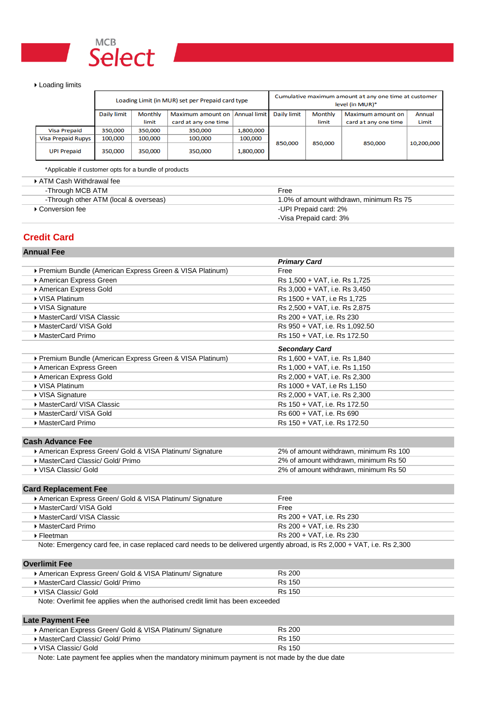

#### ▶ Loading limits

|                           | Loading Limit (in MUR) set per Prepaid card type |         |                      |                     | Cumulative maximum amount at any one time at customer<br>level (in MUR)* |                |                      |            |
|---------------------------|--------------------------------------------------|---------|----------------------|---------------------|--------------------------------------------------------------------------|----------------|----------------------|------------|
|                           | Daily limit                                      | Monthly | Maximum amount on    | <b>Annual limit</b> | <b>Daily limit</b>                                                       | <b>Monthly</b> | Maximum amount on    | Annual     |
|                           |                                                  | limit   | card at any one time |                     |                                                                          | limit          | card at any one time | Limit      |
| <b>Visa Prepaid</b>       | 350,000                                          | 350,000 | 350,000              | 1,800,000           |                                                                          |                |                      |            |
| <b>Visa Prepaid Rupys</b> | 100,000                                          | 100,000 | 100,000              | 100,000             |                                                                          |                |                      |            |
| <b>UPI Prepaid</b>        | 350,000                                          | 350,000 | 350,000              | 1,800,000           | 850,000                                                                  | 850,000        | 850,000              | 10,200,000 |

\*Applicable if customer opts for a bundle of products

| ▶ ATM Cash Withdrawal fee             |                                         |
|---------------------------------------|-----------------------------------------|
| -Through MCB ATM                      | Free                                    |
| -Through other ATM (local & overseas) | 1.0% of amount withdrawn, minimum Rs 75 |
| ▶ Conversion fee                      | -UPI Prepaid card: 2%                   |
|                                       | -Visa Prepaid card: 3%                  |

# **Credit Card**

| <b>Primary Card</b><br>Premium Bundle (American Express Green & VISA Platinum)<br>Free<br>American Express Green<br>Rs 1,500 + VAT, i.e. Rs 1,725<br>American Express Gold<br>Rs 3,000 + VAT, i.e. Rs 3,450<br>▶ VISA Platinum<br>Rs 1500 + VAT, i.e Rs 1,725<br>▶ VISA Signature<br>Rs 2,500 + VAT, i.e. Rs 2,875<br>MasterCard/ VISA Classic<br>Rs 200 + VAT, i.e. Rs 230<br>MasterCard/ VISA Gold<br>Rs 950 + VAT, i.e. Rs 1,092.50<br>▶ MasterCard Primo<br>Rs 150 + VAT, i.e. Rs 172.50<br><b>Secondary Card</b><br>▶ Premium Bundle (American Express Green & VISA Platinum)<br>Rs 1,600 + VAT, i.e. Rs 1,840<br>American Express Green<br>Rs 1,000 + VAT, i.e. Rs 1,150<br>American Express Gold<br>Rs 2,000 + VAT, i.e. Rs 2,300<br>▶ VISA Platinum<br>Rs 1000 + VAT, i.e Rs 1,150<br>▶ VISA Signature<br>Rs 2,000 + VAT, i.e. Rs 2,300<br>MasterCard/ VISA Classic<br>Rs 150 + VAT, i.e. Rs 172.50<br>MasterCard/VISA Gold<br>Rs 600 + VAT, i.e. Rs 690<br>▶ MasterCard Primo<br>Rs 150 + VAT, i.e. Rs 172.50<br><b>Cash Advance Fee</b><br>American Express Green/ Gold & VISA Platinum/ Signature<br>2% of amount withdrawn, minimum Rs 100<br>MasterCard Classic/ Gold/ Primo<br>2% of amount withdrawn, minimum Rs 50<br>▶ VISA Classic/ Gold<br>2% of amount withdrawn, minimum Rs 50<br><b>Card Replacement Fee</b><br>Free<br>American Express Green/ Gold & VISA Platinum/ Signature<br>MasterCard/ VISA Gold<br>Free<br>Rs 200 + VAT, i.e. Rs 230<br>MasterCard/VISA Classic<br>Rs 200 + VAT, i.e. Rs 230<br>MasterCard Primo<br>Rs 200 + VAT, i.e. Rs 230<br>▶ Fleetman<br>Note: Emergency card fee, in case replaced card needs to be delivered urgently abroad, is Rs 2,000 + VAT, i.e. Rs 2,300<br><b>Overlimit Fee</b><br><b>Rs 200</b><br>American Express Green/ Gold & VISA Platinum/ Signature<br>MasterCard Classic/ Gold/ Primo<br><b>Rs 150</b><br><b>Rs 150</b><br>▶ VISA Classic/ Gold<br>Note: Overlimit fee applies when the authorised credit limit has been exceeded<br><b>Late Payment Fee</b><br><b>Rs 200</b><br>American Express Green/ Gold & VISA Platinum/ Signature | <b>Annual Fee</b>                                                                             |  |  |  |
|-----------------------------------------------------------------------------------------------------------------------------------------------------------------------------------------------------------------------------------------------------------------------------------------------------------------------------------------------------------------------------------------------------------------------------------------------------------------------------------------------------------------------------------------------------------------------------------------------------------------------------------------------------------------------------------------------------------------------------------------------------------------------------------------------------------------------------------------------------------------------------------------------------------------------------------------------------------------------------------------------------------------------------------------------------------------------------------------------------------------------------------------------------------------------------------------------------------------------------------------------------------------------------------------------------------------------------------------------------------------------------------------------------------------------------------------------------------------------------------------------------------------------------------------------------------------------------------------------------------------------------------------------------------------------------------------------------------------------------------------------------------------------------------------------------------------------------------------------------------------------------------------------------------------------------------------------------------------------------------------------------------------------------------------------------------------------------------------------------------------|-----------------------------------------------------------------------------------------------|--|--|--|
|                                                                                                                                                                                                                                                                                                                                                                                                                                                                                                                                                                                                                                                                                                                                                                                                                                                                                                                                                                                                                                                                                                                                                                                                                                                                                                                                                                                                                                                                                                                                                                                                                                                                                                                                                                                                                                                                                                                                                                                                                                                                                                                 |                                                                                               |  |  |  |
|                                                                                                                                                                                                                                                                                                                                                                                                                                                                                                                                                                                                                                                                                                                                                                                                                                                                                                                                                                                                                                                                                                                                                                                                                                                                                                                                                                                                                                                                                                                                                                                                                                                                                                                                                                                                                                                                                                                                                                                                                                                                                                                 |                                                                                               |  |  |  |
|                                                                                                                                                                                                                                                                                                                                                                                                                                                                                                                                                                                                                                                                                                                                                                                                                                                                                                                                                                                                                                                                                                                                                                                                                                                                                                                                                                                                                                                                                                                                                                                                                                                                                                                                                                                                                                                                                                                                                                                                                                                                                                                 |                                                                                               |  |  |  |
|                                                                                                                                                                                                                                                                                                                                                                                                                                                                                                                                                                                                                                                                                                                                                                                                                                                                                                                                                                                                                                                                                                                                                                                                                                                                                                                                                                                                                                                                                                                                                                                                                                                                                                                                                                                                                                                                                                                                                                                                                                                                                                                 |                                                                                               |  |  |  |
|                                                                                                                                                                                                                                                                                                                                                                                                                                                                                                                                                                                                                                                                                                                                                                                                                                                                                                                                                                                                                                                                                                                                                                                                                                                                                                                                                                                                                                                                                                                                                                                                                                                                                                                                                                                                                                                                                                                                                                                                                                                                                                                 |                                                                                               |  |  |  |
|                                                                                                                                                                                                                                                                                                                                                                                                                                                                                                                                                                                                                                                                                                                                                                                                                                                                                                                                                                                                                                                                                                                                                                                                                                                                                                                                                                                                                                                                                                                                                                                                                                                                                                                                                                                                                                                                                                                                                                                                                                                                                                                 |                                                                                               |  |  |  |
|                                                                                                                                                                                                                                                                                                                                                                                                                                                                                                                                                                                                                                                                                                                                                                                                                                                                                                                                                                                                                                                                                                                                                                                                                                                                                                                                                                                                                                                                                                                                                                                                                                                                                                                                                                                                                                                                                                                                                                                                                                                                                                                 |                                                                                               |  |  |  |
|                                                                                                                                                                                                                                                                                                                                                                                                                                                                                                                                                                                                                                                                                                                                                                                                                                                                                                                                                                                                                                                                                                                                                                                                                                                                                                                                                                                                                                                                                                                                                                                                                                                                                                                                                                                                                                                                                                                                                                                                                                                                                                                 |                                                                                               |  |  |  |
|                                                                                                                                                                                                                                                                                                                                                                                                                                                                                                                                                                                                                                                                                                                                                                                                                                                                                                                                                                                                                                                                                                                                                                                                                                                                                                                                                                                                                                                                                                                                                                                                                                                                                                                                                                                                                                                                                                                                                                                                                                                                                                                 |                                                                                               |  |  |  |
|                                                                                                                                                                                                                                                                                                                                                                                                                                                                                                                                                                                                                                                                                                                                                                                                                                                                                                                                                                                                                                                                                                                                                                                                                                                                                                                                                                                                                                                                                                                                                                                                                                                                                                                                                                                                                                                                                                                                                                                                                                                                                                                 |                                                                                               |  |  |  |
|                                                                                                                                                                                                                                                                                                                                                                                                                                                                                                                                                                                                                                                                                                                                                                                                                                                                                                                                                                                                                                                                                                                                                                                                                                                                                                                                                                                                                                                                                                                                                                                                                                                                                                                                                                                                                                                                                                                                                                                                                                                                                                                 |                                                                                               |  |  |  |
|                                                                                                                                                                                                                                                                                                                                                                                                                                                                                                                                                                                                                                                                                                                                                                                                                                                                                                                                                                                                                                                                                                                                                                                                                                                                                                                                                                                                                                                                                                                                                                                                                                                                                                                                                                                                                                                                                                                                                                                                                                                                                                                 |                                                                                               |  |  |  |
|                                                                                                                                                                                                                                                                                                                                                                                                                                                                                                                                                                                                                                                                                                                                                                                                                                                                                                                                                                                                                                                                                                                                                                                                                                                                                                                                                                                                                                                                                                                                                                                                                                                                                                                                                                                                                                                                                                                                                                                                                                                                                                                 |                                                                                               |  |  |  |
|                                                                                                                                                                                                                                                                                                                                                                                                                                                                                                                                                                                                                                                                                                                                                                                                                                                                                                                                                                                                                                                                                                                                                                                                                                                                                                                                                                                                                                                                                                                                                                                                                                                                                                                                                                                                                                                                                                                                                                                                                                                                                                                 |                                                                                               |  |  |  |
|                                                                                                                                                                                                                                                                                                                                                                                                                                                                                                                                                                                                                                                                                                                                                                                                                                                                                                                                                                                                                                                                                                                                                                                                                                                                                                                                                                                                                                                                                                                                                                                                                                                                                                                                                                                                                                                                                                                                                                                                                                                                                                                 |                                                                                               |  |  |  |
|                                                                                                                                                                                                                                                                                                                                                                                                                                                                                                                                                                                                                                                                                                                                                                                                                                                                                                                                                                                                                                                                                                                                                                                                                                                                                                                                                                                                                                                                                                                                                                                                                                                                                                                                                                                                                                                                                                                                                                                                                                                                                                                 |                                                                                               |  |  |  |
|                                                                                                                                                                                                                                                                                                                                                                                                                                                                                                                                                                                                                                                                                                                                                                                                                                                                                                                                                                                                                                                                                                                                                                                                                                                                                                                                                                                                                                                                                                                                                                                                                                                                                                                                                                                                                                                                                                                                                                                                                                                                                                                 |                                                                                               |  |  |  |
|                                                                                                                                                                                                                                                                                                                                                                                                                                                                                                                                                                                                                                                                                                                                                                                                                                                                                                                                                                                                                                                                                                                                                                                                                                                                                                                                                                                                                                                                                                                                                                                                                                                                                                                                                                                                                                                                                                                                                                                                                                                                                                                 |                                                                                               |  |  |  |
|                                                                                                                                                                                                                                                                                                                                                                                                                                                                                                                                                                                                                                                                                                                                                                                                                                                                                                                                                                                                                                                                                                                                                                                                                                                                                                                                                                                                                                                                                                                                                                                                                                                                                                                                                                                                                                                                                                                                                                                                                                                                                                                 |                                                                                               |  |  |  |
|                                                                                                                                                                                                                                                                                                                                                                                                                                                                                                                                                                                                                                                                                                                                                                                                                                                                                                                                                                                                                                                                                                                                                                                                                                                                                                                                                                                                                                                                                                                                                                                                                                                                                                                                                                                                                                                                                                                                                                                                                                                                                                                 |                                                                                               |  |  |  |
|                                                                                                                                                                                                                                                                                                                                                                                                                                                                                                                                                                                                                                                                                                                                                                                                                                                                                                                                                                                                                                                                                                                                                                                                                                                                                                                                                                                                                                                                                                                                                                                                                                                                                                                                                                                                                                                                                                                                                                                                                                                                                                                 |                                                                                               |  |  |  |
|                                                                                                                                                                                                                                                                                                                                                                                                                                                                                                                                                                                                                                                                                                                                                                                                                                                                                                                                                                                                                                                                                                                                                                                                                                                                                                                                                                                                                                                                                                                                                                                                                                                                                                                                                                                                                                                                                                                                                                                                                                                                                                                 |                                                                                               |  |  |  |
|                                                                                                                                                                                                                                                                                                                                                                                                                                                                                                                                                                                                                                                                                                                                                                                                                                                                                                                                                                                                                                                                                                                                                                                                                                                                                                                                                                                                                                                                                                                                                                                                                                                                                                                                                                                                                                                                                                                                                                                                                                                                                                                 |                                                                                               |  |  |  |
|                                                                                                                                                                                                                                                                                                                                                                                                                                                                                                                                                                                                                                                                                                                                                                                                                                                                                                                                                                                                                                                                                                                                                                                                                                                                                                                                                                                                                                                                                                                                                                                                                                                                                                                                                                                                                                                                                                                                                                                                                                                                                                                 |                                                                                               |  |  |  |
|                                                                                                                                                                                                                                                                                                                                                                                                                                                                                                                                                                                                                                                                                                                                                                                                                                                                                                                                                                                                                                                                                                                                                                                                                                                                                                                                                                                                                                                                                                                                                                                                                                                                                                                                                                                                                                                                                                                                                                                                                                                                                                                 |                                                                                               |  |  |  |
|                                                                                                                                                                                                                                                                                                                                                                                                                                                                                                                                                                                                                                                                                                                                                                                                                                                                                                                                                                                                                                                                                                                                                                                                                                                                                                                                                                                                                                                                                                                                                                                                                                                                                                                                                                                                                                                                                                                                                                                                                                                                                                                 |                                                                                               |  |  |  |
|                                                                                                                                                                                                                                                                                                                                                                                                                                                                                                                                                                                                                                                                                                                                                                                                                                                                                                                                                                                                                                                                                                                                                                                                                                                                                                                                                                                                                                                                                                                                                                                                                                                                                                                                                                                                                                                                                                                                                                                                                                                                                                                 |                                                                                               |  |  |  |
|                                                                                                                                                                                                                                                                                                                                                                                                                                                                                                                                                                                                                                                                                                                                                                                                                                                                                                                                                                                                                                                                                                                                                                                                                                                                                                                                                                                                                                                                                                                                                                                                                                                                                                                                                                                                                                                                                                                                                                                                                                                                                                                 |                                                                                               |  |  |  |
|                                                                                                                                                                                                                                                                                                                                                                                                                                                                                                                                                                                                                                                                                                                                                                                                                                                                                                                                                                                                                                                                                                                                                                                                                                                                                                                                                                                                                                                                                                                                                                                                                                                                                                                                                                                                                                                                                                                                                                                                                                                                                                                 |                                                                                               |  |  |  |
|                                                                                                                                                                                                                                                                                                                                                                                                                                                                                                                                                                                                                                                                                                                                                                                                                                                                                                                                                                                                                                                                                                                                                                                                                                                                                                                                                                                                                                                                                                                                                                                                                                                                                                                                                                                                                                                                                                                                                                                                                                                                                                                 |                                                                                               |  |  |  |
|                                                                                                                                                                                                                                                                                                                                                                                                                                                                                                                                                                                                                                                                                                                                                                                                                                                                                                                                                                                                                                                                                                                                                                                                                                                                                                                                                                                                                                                                                                                                                                                                                                                                                                                                                                                                                                                                                                                                                                                                                                                                                                                 |                                                                                               |  |  |  |
|                                                                                                                                                                                                                                                                                                                                                                                                                                                                                                                                                                                                                                                                                                                                                                                                                                                                                                                                                                                                                                                                                                                                                                                                                                                                                                                                                                                                                                                                                                                                                                                                                                                                                                                                                                                                                                                                                                                                                                                                                                                                                                                 |                                                                                               |  |  |  |
|                                                                                                                                                                                                                                                                                                                                                                                                                                                                                                                                                                                                                                                                                                                                                                                                                                                                                                                                                                                                                                                                                                                                                                                                                                                                                                                                                                                                                                                                                                                                                                                                                                                                                                                                                                                                                                                                                                                                                                                                                                                                                                                 |                                                                                               |  |  |  |
|                                                                                                                                                                                                                                                                                                                                                                                                                                                                                                                                                                                                                                                                                                                                                                                                                                                                                                                                                                                                                                                                                                                                                                                                                                                                                                                                                                                                                                                                                                                                                                                                                                                                                                                                                                                                                                                                                                                                                                                                                                                                                                                 |                                                                                               |  |  |  |
|                                                                                                                                                                                                                                                                                                                                                                                                                                                                                                                                                                                                                                                                                                                                                                                                                                                                                                                                                                                                                                                                                                                                                                                                                                                                                                                                                                                                                                                                                                                                                                                                                                                                                                                                                                                                                                                                                                                                                                                                                                                                                                                 |                                                                                               |  |  |  |
|                                                                                                                                                                                                                                                                                                                                                                                                                                                                                                                                                                                                                                                                                                                                                                                                                                                                                                                                                                                                                                                                                                                                                                                                                                                                                                                                                                                                                                                                                                                                                                                                                                                                                                                                                                                                                                                                                                                                                                                                                                                                                                                 |                                                                                               |  |  |  |
|                                                                                                                                                                                                                                                                                                                                                                                                                                                                                                                                                                                                                                                                                                                                                                                                                                                                                                                                                                                                                                                                                                                                                                                                                                                                                                                                                                                                                                                                                                                                                                                                                                                                                                                                                                                                                                                                                                                                                                                                                                                                                                                 |                                                                                               |  |  |  |
|                                                                                                                                                                                                                                                                                                                                                                                                                                                                                                                                                                                                                                                                                                                                                                                                                                                                                                                                                                                                                                                                                                                                                                                                                                                                                                                                                                                                                                                                                                                                                                                                                                                                                                                                                                                                                                                                                                                                                                                                                                                                                                                 |                                                                                               |  |  |  |
|                                                                                                                                                                                                                                                                                                                                                                                                                                                                                                                                                                                                                                                                                                                                                                                                                                                                                                                                                                                                                                                                                                                                                                                                                                                                                                                                                                                                                                                                                                                                                                                                                                                                                                                                                                                                                                                                                                                                                                                                                                                                                                                 |                                                                                               |  |  |  |
| MasterCard Classic/ Gold/ Primo<br><b>Rs 150</b>                                                                                                                                                                                                                                                                                                                                                                                                                                                                                                                                                                                                                                                                                                                                                                                                                                                                                                                                                                                                                                                                                                                                                                                                                                                                                                                                                                                                                                                                                                                                                                                                                                                                                                                                                                                                                                                                                                                                                                                                                                                                |                                                                                               |  |  |  |
| ▶ VISA Classic/ Gold<br><b>Rs 150</b>                                                                                                                                                                                                                                                                                                                                                                                                                                                                                                                                                                                                                                                                                                                                                                                                                                                                                                                                                                                                                                                                                                                                                                                                                                                                                                                                                                                                                                                                                                                                                                                                                                                                                                                                                                                                                                                                                                                                                                                                                                                                           |                                                                                               |  |  |  |
|                                                                                                                                                                                                                                                                                                                                                                                                                                                                                                                                                                                                                                                                                                                                                                                                                                                                                                                                                                                                                                                                                                                                                                                                                                                                                                                                                                                                                                                                                                                                                                                                                                                                                                                                                                                                                                                                                                                                                                                                                                                                                                                 | Note: Late payment fee applies when the mandatory minimum payment is not made by the due date |  |  |  |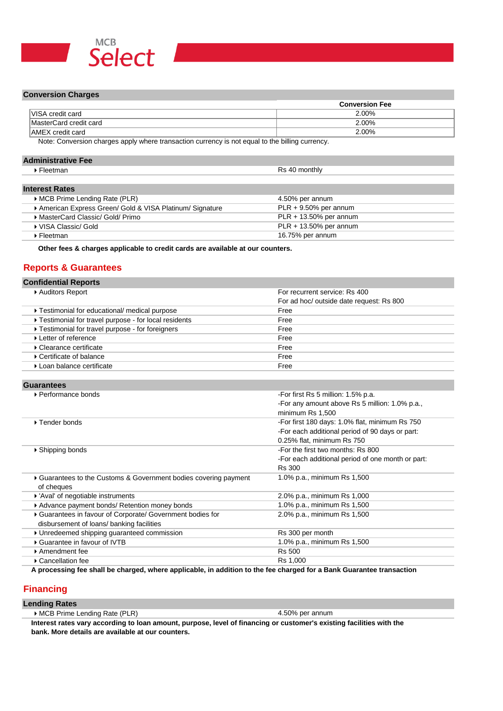

#### **Conversion Charges**

|                         | <b>Conversion Fee</b> |
|-------------------------|-----------------------|
| <b>VISA</b> credit card | 2.00%                 |
| MasterCard credit card  | 2.00%                 |
| <b>AMEX</b> credit card | 2.00%                 |

Note: Conversion charges apply where transaction currency is not equal to the billing currency.

### **Administrative Fee**

| Fleetman              | Rs 40 monthly |
|-----------------------|---------------|
|                       |               |
| <b>Interest Rates</b> |               |

| MCB Prime Lending Rate (PLR)                            | 4.50% per annum           |
|---------------------------------------------------------|---------------------------|
| American Express Green/ Gold & VISA Platinum/ Signature | $PLR + 9.50\%$ per annum  |
| ▶ MasterCard Classic/ Gold/ Primo                       | $PLR + 13.50\%$ per annum |
| ▶ VISA Classic/ Gold                                    | $PLR + 13.50\%$ per annum |
| ▶ Fleetman                                              | 16.75% per annum          |

**Other fees & charges applicable to credit cards are available at our counters.**

### **Reports & Guarantees**

| <b>Confidential Reports</b>                          |                                          |
|------------------------------------------------------|------------------------------------------|
| ▶ Auditors Report                                    | For recurrent service: Rs 400            |
|                                                      | For ad hoc/ outside date request: Rs 800 |
| ▶ Testimonial for educational/ medical purpose       | Free                                     |
| Testimonial for travel purpose - for local residents | Free                                     |
| Testimonial for travel purpose - for foreigners      | Free                                     |
| ▶ Letter of reference                                | Free                                     |
| ▶ Clearance certificate                              | Free                                     |
| ▶ Certificate of balance                             | Free                                     |
| ▶ Loan balance certificate                           | Free                                     |

### **Guarantees**

| -For first Rs 5 million: 1.5% p.a.                |
|---------------------------------------------------|
| -For any amount above Rs 5 million: 1.0% p.a.,    |
| minimum Rs 1.500                                  |
| -For first 180 days: 1.0% flat, minimum Rs 750    |
| -For each additional period of 90 days or part:   |
| 0.25% flat, minimum Rs 750                        |
| -For the first two months: Rs 800                 |
| -For each additional period of one month or part: |
| <b>Rs 300</b>                                     |
| 1.0% p.a., minimum Rs 1,500                       |
|                                                   |
| 2.0% p.a., minimum Rs 1,000                       |
| 1.0% p.a., minimum Rs 1,500                       |
| 2.0% p.a., minimum Rs 1,500                       |
|                                                   |
| Rs 300 per month                                  |
| 1.0% p.a., minimum Rs 1,500                       |
| <b>Rs 500</b>                                     |
| Rs 1,000                                          |
|                                                   |

**A processing fee shall be charged, where applicable, in addition to the fee charged for a Bank Guarantee transaction** 

### **Financing**

#### **Lending Rates**

4.50% per annum

**Interest rates vary according to loan amount, purpose, level of financing or customer's existing facilities with the bank. More details are available at our counters.**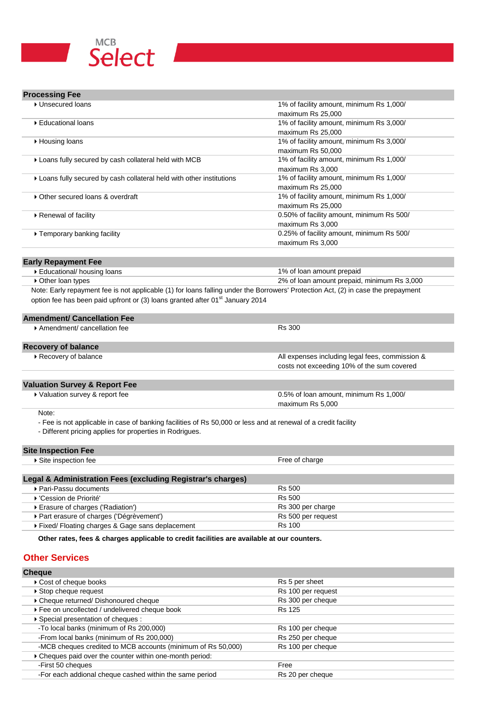

| <b>Processing Fee</b> |  |  |
|-----------------------|--|--|
|-----------------------|--|--|

| ▶ Unsecured loans                                                                                              | 1% of facility amount, minimum Rs 1,000/                                                                                          |
|----------------------------------------------------------------------------------------------------------------|-----------------------------------------------------------------------------------------------------------------------------------|
|                                                                                                                | maximum Rs 25,000                                                                                                                 |
| ▶ Educational loans                                                                                            | 1% of facility amount, minimum Rs 3,000/                                                                                          |
|                                                                                                                | maximum Rs 25,000                                                                                                                 |
| ▶ Housing loans                                                                                                | 1% of facility amount, minimum Rs 3,000/                                                                                          |
|                                                                                                                | maximum Rs 50,000                                                                                                                 |
| Loans fully secured by cash collateral held with MCB                                                           | 1% of facility amount, minimum Rs 1,000/                                                                                          |
|                                                                                                                | maximum Rs 3,000                                                                                                                  |
| Loans fully secured by cash collateral held with other institutions                                            | 1% of facility amount, minimum Rs 1,000/                                                                                          |
|                                                                                                                | maximum Rs 25,000                                                                                                                 |
| • Other secured loans & overdraft                                                                              | 1% of facility amount, minimum Rs 1,000/                                                                                          |
|                                                                                                                | maximum Rs 25,000                                                                                                                 |
| ▶ Renewal of facility                                                                                          | 0.50% of facility amount, minimum Rs 500/                                                                                         |
|                                                                                                                | maximum Rs 3,000                                                                                                                  |
| ▶ Temporary banking facility                                                                                   | 0.25% of facility amount, minimum Rs 500/                                                                                         |
|                                                                                                                | maximum Rs 3,000                                                                                                                  |
|                                                                                                                |                                                                                                                                   |
| <b>Early Repayment Fee</b>                                                                                     |                                                                                                                                   |
| Educational/ housing loans                                                                                     | 1% of loan amount prepaid                                                                                                         |
| ▶ Other loan types                                                                                             | 2% of loan amount prepaid, minimum Rs 3,000                                                                                       |
|                                                                                                                | Note: Early repayment fee is not applicable (1) for loans falling under the Borrowers' Protection Act, (2) in case the prepayment |
| option fee has been paid upfront or (3) loans granted after 01 <sup>st</sup> January 2014                      |                                                                                                                                   |
| <b>Amendment/ Cancellation Fee</b>                                                                             |                                                                                                                                   |
| Amendment/cancellation fee                                                                                     | <b>Rs 300</b>                                                                                                                     |
|                                                                                                                |                                                                                                                                   |
| <b>Recovery of balance</b>                                                                                     |                                                                                                                                   |
| Recovery of balance                                                                                            | All expenses including legal fees, commission &                                                                                   |
|                                                                                                                | costs not exceeding 10% of the sum covered                                                                                        |
|                                                                                                                |                                                                                                                                   |
| <b>Valuation Survey &amp; Report Fee</b>                                                                       |                                                                                                                                   |
| ▶ Valuation survey & report fee                                                                                | 0.5% of loan amount, minimum Rs 1,000/                                                                                            |
|                                                                                                                | maximum Rs 5,000                                                                                                                  |
| Note:                                                                                                          |                                                                                                                                   |
| - Fee is not applicable in case of banking facilities of Rs 50,000 or less and at renewal of a credit facility |                                                                                                                                   |

- Different pricing applies for properties in Rodrigues.

# **Site Inspection Fee**

| $5.00$ $\mu$ $\sigma$ $\mu$ $\sigma$ $\sigma$ $\sigma$ $\sigma$ |               |  |
|-----------------------------------------------------------------|---------------|--|
| nn teel<br>ne ine …                                             | ree or cnarge |  |
|                                                                 |               |  |
|                                                                 |               |  |

| Legal & Administration Fees (excluding Registrar's charges) |                    |
|-------------------------------------------------------------|--------------------|
| ▶ Pari-Passu documents                                      | <b>Rs 500</b>      |
| ▶ 'Cession de Priorité'                                     | <b>Rs 500</b>      |
| ▶ Erasure of charges ('Radiation')                          | Rs 300 per charge  |
| ▶ Part erasure of charges ('Dégrèvement')                   | Rs 500 per request |
| Fixed/Floating charges & Gage sans deplacement              | <b>Rs 100</b>      |

**Other rates, fees & charges applicable to credit facilities are available at our counters.**

### **Other Services**

| <b>Cheque</b>                                                |                    |
|--------------------------------------------------------------|--------------------|
| ▶ Cost of cheque books                                       | Rs 5 per sheet     |
| ▶ Stop cheque request                                        | Rs 100 per request |
| ▶ Cheque returned/ Dishonoured cheque                        | Rs 300 per cheque  |
| ▶ Fee on uncollected / undelivered cheque book               | <b>Rs 125</b>      |
| ▶ Special presentation of cheques :                          |                    |
| -To local banks (minimum of Rs 200,000)                      | Rs 100 per cheque  |
| -From local banks (minimum of Rs 200,000)                    | Rs 250 per cheque  |
| -MCB cheques credited to MCB accounts (minimum of Rs 50,000) | Rs 100 per cheque  |
| Cheques paid over the counter within one-month period:       |                    |
| -First 50 cheques                                            | Free               |
| -For each addional cheque cashed within the same period      | Rs 20 per cheque   |